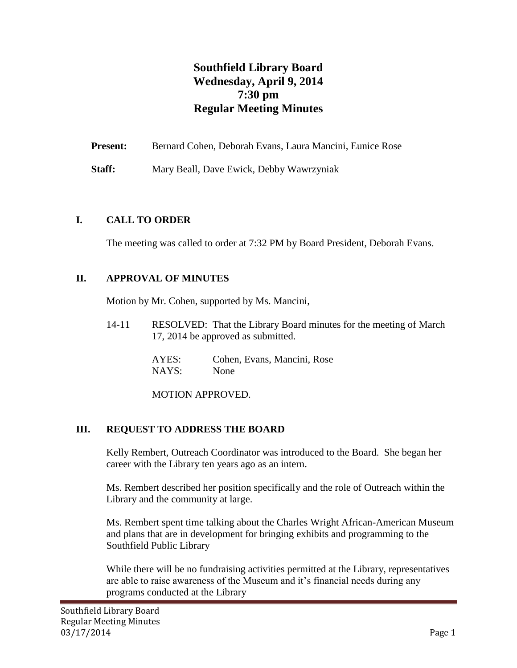# **Southfield Library Board Wednesday, April 9, 2014 7:30 pm Regular Meeting Minutes**

**Present:** Bernard Cohen, Deborah Evans, Laura Mancini, Eunice Rose

**Staff:** Mary Beall, Dave Ewick, Debby Wawrzyniak

#### **I. CALL TO ORDER**

The meeting was called to order at 7:32 PM by Board President, Deborah Evans.

## **II. APPROVAL OF MINUTES**

Motion by Mr. Cohen, supported by Ms. Mancini,

14-11 RESOLVED: That the Library Board minutes for the meeting of March 17, 2014 be approved as submitted.

> AYES: Cohen, Evans, Mancini, Rose NAYS: None

MOTION APPROVED.

## **III. REQUEST TO ADDRESS THE BOARD**

Kelly Rembert, Outreach Coordinator was introduced to the Board. She began her career with the Library ten years ago as an intern.

Ms. Rembert described her position specifically and the role of Outreach within the Library and the community at large.

Ms. Rembert spent time talking about the Charles Wright African-American Museum and plans that are in development for bringing exhibits and programming to the Southfield Public Library

While there will be no fundraising activities permitted at the Library, representatives are able to raise awareness of the Museum and it's financial needs during any programs conducted at the Library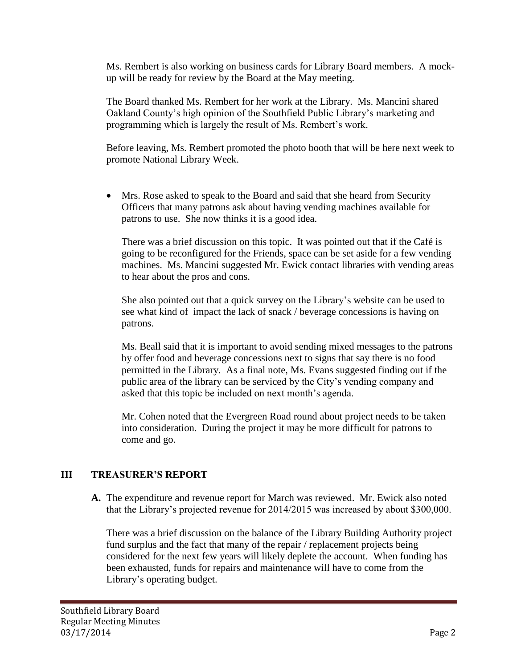Ms. Rembert is also working on business cards for Library Board members. A mockup will be ready for review by the Board at the May meeting.

The Board thanked Ms. Rembert for her work at the Library. Ms. Mancini shared Oakland County's high opinion of the Southfield Public Library's marketing and programming which is largely the result of Ms. Rembert's work.

Before leaving, Ms. Rembert promoted the photo booth that will be here next week to promote National Library Week.

 Mrs. Rose asked to speak to the Board and said that she heard from Security Officers that many patrons ask about having vending machines available for patrons to use. She now thinks it is a good idea.

There was a brief discussion on this topic. It was pointed out that if the Café is going to be reconfigured for the Friends, space can be set aside for a few vending machines. Ms. Mancini suggested Mr. Ewick contact libraries with vending areas to hear about the pros and cons.

She also pointed out that a quick survey on the Library's website can be used to see what kind of impact the lack of snack / beverage concessions is having on patrons.

Ms. Beall said that it is important to avoid sending mixed messages to the patrons by offer food and beverage concessions next to signs that say there is no food permitted in the Library. As a final note, Ms. Evans suggested finding out if the public area of the library can be serviced by the City's vending company and asked that this topic be included on next month's agenda.

Mr. Cohen noted that the Evergreen Road round about project needs to be taken into consideration. During the project it may be more difficult for patrons to come and go.

## **III TREASURER'S REPORT**

**A.** The expenditure and revenue report for March was reviewed. Mr. Ewick also noted that the Library's projected revenue for 2014/2015 was increased by about \$300,000.

There was a brief discussion on the balance of the Library Building Authority project fund surplus and the fact that many of the repair / replacement projects being considered for the next few years will likely deplete the account. When funding has been exhausted, funds for repairs and maintenance will have to come from the Library's operating budget.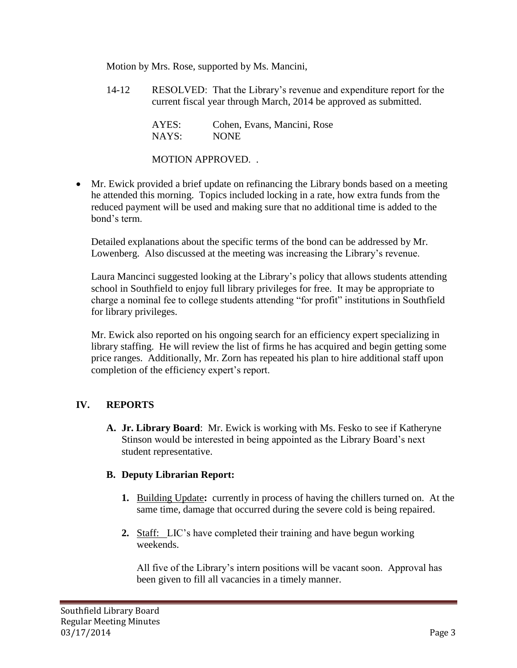Motion by Mrs. Rose, supported by Ms. Mancini,

14-12 RESOLVED: That the Library's revenue and expenditure report for the current fiscal year through March, 2014 be approved as submitted.

| AYES: | Cohen, Evans, Mancini, Rose |
|-------|-----------------------------|
| NAYS: | <b>NONE</b>                 |

MOTION APPROVED. .

 Mr. Ewick provided a brief update on refinancing the Library bonds based on a meeting he attended this morning. Topics included locking in a rate, how extra funds from the reduced payment will be used and making sure that no additional time is added to the bond's term.

Detailed explanations about the specific terms of the bond can be addressed by Mr. Lowenberg. Also discussed at the meeting was increasing the Library's revenue.

Laura Mancinci suggested looking at the Library's policy that allows students attending school in Southfield to enjoy full library privileges for free. It may be appropriate to charge a nominal fee to college students attending "for profit" institutions in Southfield for library privileges.

Mr. Ewick also reported on his ongoing search for an efficiency expert specializing in library staffing. He will review the list of firms he has acquired and begin getting some price ranges. Additionally, Mr. Zorn has repeated his plan to hire additional staff upon completion of the efficiency expert's report.

## **IV. REPORTS**

**A. Jr. Library Board**: Mr. Ewick is working with Ms. Fesko to see if Katheryne Stinson would be interested in being appointed as the Library Board's next student representative.

#### **B. Deputy Librarian Report:**

- **1.** Building Update**:** currently in process of having the chillers turned on. At the same time, damage that occurred during the severe cold is being repaired.
- **2.** Staff: LIC's have completed their training and have begun working weekends.

All five of the Library's intern positions will be vacant soon. Approval has been given to fill all vacancies in a timely manner.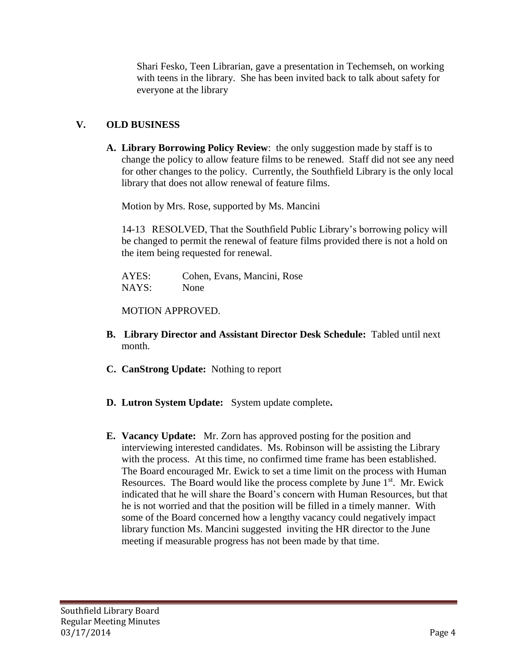Shari Fesko, Teen Librarian, gave a presentation in Techemseh, on working with teens in the library. She has been invited back to talk about safety for everyone at the library

## **V. OLD BUSINESS**

**A. Library Borrowing Policy Review**: the only suggestion made by staff is to change the policy to allow feature films to be renewed. Staff did not see any need for other changes to the policy. Currently, the Southfield Library is the only local library that does not allow renewal of feature films.

Motion by Mrs. Rose, supported by Ms. Mancini

14-13 RESOLVED, That the Southfield Public Library's borrowing policy will be changed to permit the renewal of feature films provided there is not a hold on the item being requested for renewal.

| AYES: | Cohen, Evans, Mancini, Rose |  |
|-------|-----------------------------|--|
| NAYS: | None                        |  |

MOTION APPROVED.

- **B. Library Director and Assistant Director Desk Schedule:** Tabled until next month.
- **C. CanStrong Update:** Nothing to report
- **D. Lutron System Update:** System update complete**.**
- **E. Vacancy Update:** Mr. Zorn has approved posting for the position and interviewing interested candidates. Ms. Robinson will be assisting the Library with the process. At this time, no confirmed time frame has been established. The Board encouraged Mr. Ewick to set a time limit on the process with Human Resources. The Board would like the process complete by June  $1<sup>st</sup>$ . Mr. Ewick indicated that he will share the Board's concern with Human Resources, but that he is not worried and that the position will be filled in a timely manner. With some of the Board concerned how a lengthy vacancy could negatively impact library function Ms. Mancini suggested inviting the HR director to the June meeting if measurable progress has not been made by that time.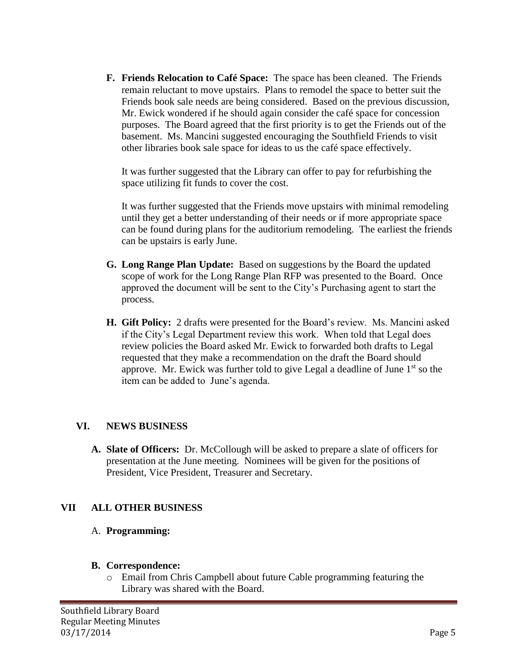**F. Friends Relocation to Café Space:** The space has been cleaned. The Friends remain reluctant to move upstairs. Plans to remodel the space to better suit the Friends book sale needs are being considered. Based on the previous discussion, Mr. Ewick wondered if he should again consider the café space for concession purposes. The Board agreed that the first priority is to get the Friends out of the basement. Ms. Mancini suggested encouraging the Southfield Friends to visit other libraries book sale space for ideas to us the café space effectively.

It was further suggested that the Library can offer to pay for refurbishing the space utilizing fit funds to cover the cost.

It was further suggested that the Friends move upstairs with minimal remodeling until they get a better understanding of their needs or if more appropriate space can be found during plans for the auditorium remodeling. The earliest the friends can be upstairs is early June.

- **G. Long Range Plan Update:** Based on suggestions by the Board the updated scope of work for the Long Range Plan RFP was presented to the Board. Once approved the document will be sent to the City's Purchasing agent to start the process.
- **H. Gift Policy:** 2 drafts were presented for the Board's review. Ms. Mancini asked if the City's Legal Department review this work. When told that Legal does review policies the Board asked Mr. Ewick to forwarded both drafts to Legal requested that they make a recommendation on the draft the Board should approve. Mr. Ewick was further told to give Legal a deadline of June  $1<sup>st</sup>$  so the item can be added to June's agenda.

## **VI. NEWS BUSINESS**

**A. Slate of Officers:** Dr. McCollough will be asked to prepare a slate of officers for presentation at the June meeting. Nominees will be given for the positions of President, Vice President, Treasurer and Secretary.

## **VII ALL OTHER BUSINESS**

#### A. **Programming:**

#### **B. Correspondence:**

o Email from Chris Campbell about future Cable programming featuring the Library was shared with the Board.